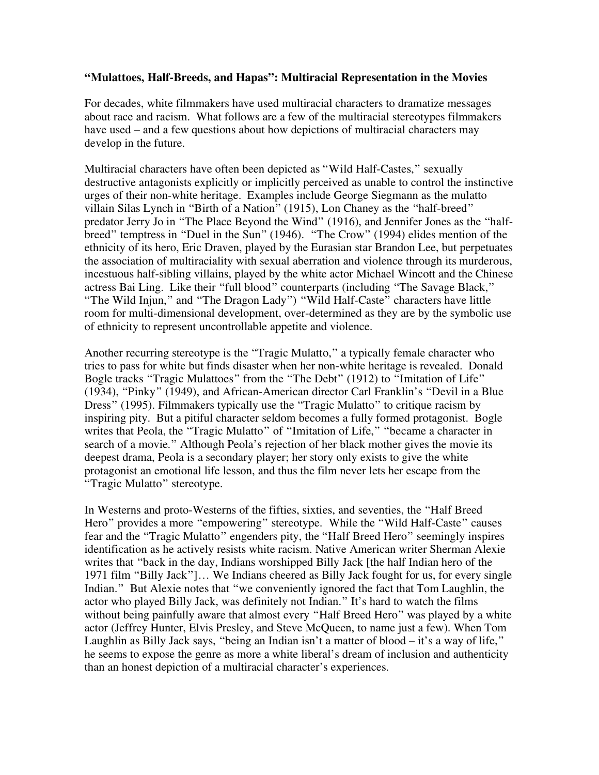## **"Mulattoes, Half-Breeds, and Hapas": Multiracial Representation in the Movies**

For decades, white filmmakers have used multiracial characters to dramatize messages about race and racism. What follows are a few of the multiracial stereotypes filmmakers have used – and a few questions about how depictions of multiracial characters may develop in the future.

Multiracial characters have often been depicted as "Wild Half-Castes," sexually destructive antagonists explicitly or implicitly perceived as unable to control the instinctive urges of their non-white heritage. Examples include George Siegmann as the mulatto villain Silas Lynch in "Birth of a Nation" (1915), Lon Chaney as the "half-breed" predator Jerry Jo in "The Place Beyond the Wind" (1916), and Jennifer Jones as the "halfbreed" temptress in "Duel in the Sun" (1946). "The Crow" (1994) elides mention of the ethnicity of its hero, Eric Draven, played by the Eurasian star Brandon Lee, but perpetuates the association of multiraciality with sexual aberration and violence through its murderous, incestuous half-sibling villains, played by the white actor Michael Wincott and the Chinese actress Bai Ling. Like their "full blood" counterparts (including "The Savage Black," "The Wild Injun," and "The Dragon Lady") "Wild Half-Caste" characters have little room for multi-dimensional development, over-determined as they are by the symbolic use of ethnicity to represent uncontrollable appetite and violence.

Another recurring stereotype is the "Tragic Mulatto," a typically female character who tries to pass for white but finds disaster when her non-white heritage is revealed. Donald Bogle tracks "Tragic Mulattoes" from the "The Debt" (1912) to "Imitation of Life" (1934), "Pinky" (1949), and African-American director Carl Franklin's "Devil in a Blue Dress" (1995). Filmmakers typically use the "Tragic Mulatto" to critique racism by inspiring pity. But a pitiful character seldom becomes a fully formed protagonist. Bogle writes that Peola, the "Tragic Mulatto" of "Imitation of Life," "became a character in search of a movie." Although Peola's rejection of her black mother gives the movie its deepest drama, Peola is a secondary player; her story only exists to give the white protagonist an emotional life lesson, and thus the film never lets her escape from the "Tragic Mulatto" stereotype.

In Westerns and proto-Westerns of the fifties, sixties, and seventies, the "Half Breed Hero" provides a more "empowering" stereotype. While the "Wild Half-Caste" causes fear and the "Tragic Mulatto" engenders pity, the "Half Breed Hero" seemingly inspires identification as he actively resists white racism. Native American writer Sherman Alexie writes that "back in the day, Indians worshipped Billy Jack [the half Indian hero of the 1971 film "Billy Jack"]… We Indians cheered as Billy Jack fought for us, for every single Indian." But Alexie notes that "we conveniently ignored the fact that Tom Laughlin, the actor who played Billy Jack, was definitely not Indian." It's hard to watch the films without being painfully aware that almost every "Half Breed Hero" was played by a white actor (Jeffrey Hunter, Elvis Presley, and Steve McQueen, to name just a few). When Tom Laughlin as Billy Jack says, "being an Indian isn't a matter of blood – it's a way of life," he seems to expose the genre as more a white liberal's dream of inclusion and authenticity than an honest depiction of a multiracial character's experiences.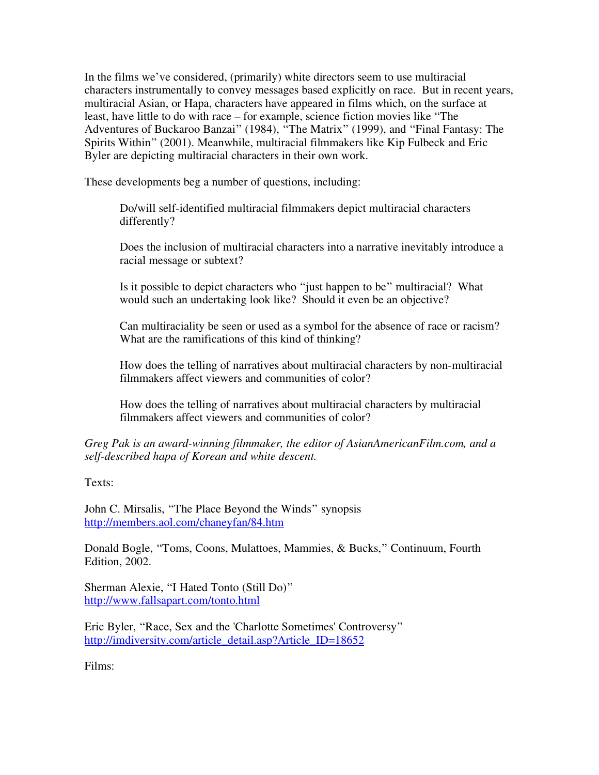In the films we've considered, (primarily) white directors seem to use multiracial characters instrumentally to convey messages based explicitly on race. But in recent years, multiracial Asian, or Hapa, characters have appeared in films which, on the surface at least, have little to do with race – for example, science fiction movies like "The Adventures of Buckaroo Banzai" (1984), "The Matrix" (1999), and "Final Fantasy: The Spirits Within" (2001). Meanwhile, multiracial filmmakers like Kip Fulbeck and Eric Byler are depicting multiracial characters in their own work.

These developments beg a number of questions, including:

Do/will self-identified multiracial filmmakers depict multiracial characters differently?

Does the inclusion of multiracial characters into a narrative inevitably introduce a racial message or subtext?

Is it possible to depict characters who "just happen to be" multiracial? What would such an undertaking look like? Should it even be an objective?

Can multiraciality be seen or used as a symbol for the absence of race or racism? What are the ramifications of this kind of thinking?

How does the telling of narratives about multiracial characters by non-multiracial filmmakers affect viewers and communities of color?

How does the telling of narratives about multiracial characters by multiracial filmmakers affect viewers and communities of color?

*Greg Pak is an award-winning filmmaker, the editor of AsianAmericanFilm.com, and a self-described hapa of Korean and white descent.* 

Texts:

John C. Mirsalis, "The Place Beyond the Winds" synopsis http://members.aol.com/chaneyfan/84.htm

Donald Bogle, "Toms, Coons, Mulattoes, Mammies, & Bucks," Continuum, Fourth Edition, 2002.

Sherman Alexie, "I Hated Tonto (Still Do)" http://www.fallsapart.com/tonto.html

Eric Byler, "Race, Sex and the 'Charlotte Sometimes' Controversy" http://imdiversity.com/article\_detail.asp?Article\_ID=18652

Films: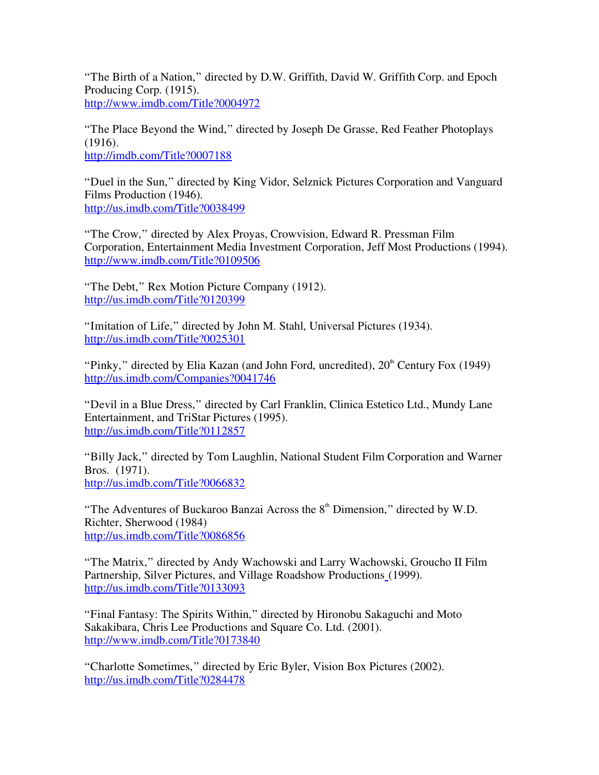"The Birth of a Nation," directed by D.W. Griffith, David W. Griffith Corp. and Epoch Producing Corp. (1915). http://www.imdb.com/Title?0004972

"The Place Beyond the Wind," directed by Joseph De Grasse, Red Feather Photoplays (1916). http://imdb.com/Title?0007188

"Duel in the Sun," directed by King Vidor, Selznick Pictures Corporation and Vanguard Films Production (1946). http://us.imdb.com/Title?0038499

"The Crow," directed by Alex Proyas, Crowvision, Edward R. Pressman Film Corporation, Entertainment Media Investment Corporation, Jeff Most Productions (1994). http://www.imdb.com/Title?0109506

"The Debt," Rex Motion Picture Company (1912). http://us.imdb.com/Title?0120399

"Imitation of Life," directed by John M. Stahl, Universal Pictures (1934). http://us.imdb.com/Title?0025301

"Pinky," directed by Elia Kazan (and John Ford, uncredited),  $20<sup>th</sup>$  Century Fox (1949) http://us.imdb.com/Companies?0041746

"Devil in a Blue Dress," directed by Carl Franklin, Clinica Estetico Ltd., Mundy Lane Entertainment, and TriStar Pictures (1995). http://us.imdb.com/Title?0112857

"Billy Jack," directed by Tom Laughlin, National Student Film Corporation and Warner Bros. (1971). http://us.imdb.com/Title?0066832

"The Adventures of Buckaroo Banzai Across the  $8<sup>th</sup>$  Dimension," directed by W.D. Richter, Sherwood (1984) http://us.imdb.com/Title?0086856

"The Matrix," directed by Andy Wachowski and Larry Wachowski, Groucho II Film Partnership, Silver Pictures, and Village Roadshow Productions (1999). http://us.imdb.com/Title?0133093

"Final Fantasy: The Spirits Within," directed by Hironobu Sakaguchi and Moto Sakakibara, Chris Lee Productions and Square Co. Ltd. (2001). http://www.imdb.com/Title?0173840

"Charlotte Sometimes," directed by Eric Byler, Vision Box Pictures (2002). http://us.imdb.com/Title?0284478